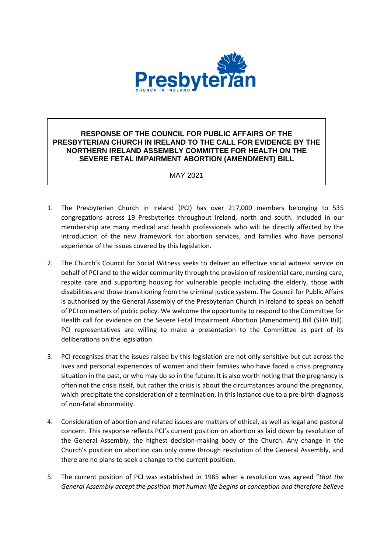

## **RESPONSE OF THE COUNCIL FOR PUBLIC AFFAIRS OF THE PRESBYTERIAN CHURCH IN IRELAND TO THE CALL FOR EVIDENCE BY THE NORTHERN IRELAND ASSEMBLY COMMITTEE FOR HEALTH ON THE SEVERE FETAL IMPAIRMENT ABORTION (AMENDMENT) BILL**

MAY 2021

- 1. The Presbyterian Church in Ireland (PCI) has over 217,000 members belonging to 535 congregations across 19 Presbyteries throughout Ireland, north and south. Included in our membership are many medical and health professionals who will be directly affected by the introduction of the new framework for abortion services, and families who have personal experience of the issues covered by this legislation.
- 2. The Church's Council for Social Witness seeks to deliver an effective social witness service on behalf of PCI and to the wider community through the provision of residential care, nursing care, respite care and supporting housing for vulnerable people including the elderly, those with disabilities and those transitioning from the criminal justice system. The Council for Public Affairs is authorised by the General Assembly of the Presbyterian Church in Ireland to speak on behalf of PCI on matters of public policy. We welcome the opportunity to respond to the Committee for Health call for evidence on the Severe Fetal Impairment Abortion (Amendment) Bill (SFIA Bill). PCI representatives are willing to make a presentation to the Committee as part of its deliberations on the legislation.
- 3. PCI recognises that the issues raised by this legislation are not only sensitive but cut across the lives and personal experiences of women and their families who have faced a crisis pregnancy situation in the past, or who may do so in the future. It is also worth noting that the pregnancy is often not the crisis itself, but rather the crisis is about the circumstances around the pregnancy, which precipitate the consideration of a termination, in this instance due to a pre-birth diagnosis of non-fatal abnormality.
- 4. Consideration of abortion and related issues are matters of ethical, as well as legal and pastoral concern. This response reflects PCI's current position on abortion as laid down by resolution of the General Assembly, the highest decision-making body of the Church. Any change in the Church's position on abortion can only come through resolution of the General Assembly, and there are no plans to seek a change to the current position.
- 5. The current position of PCI was established in 1985 when a resolution was agreed "*that the General Assembly accept the position that human life begins at conception and therefore believe*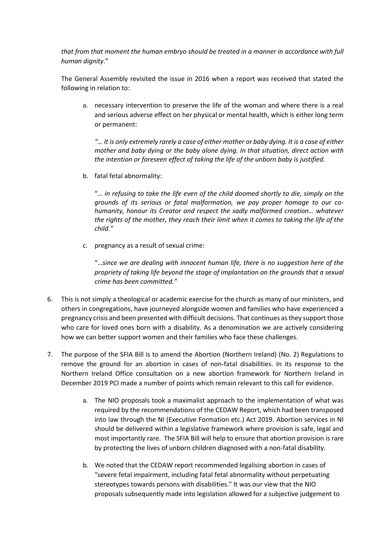*that from that moment the human embryo should be treated in a manner in accordance with full human dignity*."

The General Assembly revisited the issue in 2016 when a report was received that stated the following in relation to:

a. necessary intervention to preserve the life of the woman and where there is a real and serious adverse effect on her physical or mental health, which is either long term or permanent:

*"… It is only extremely rarely a case of either mother or baby dying. It is a case of either mother and baby dying or the baby alone dying. In that situation, direct action with the intention or foreseen effect of taking the life of the unborn baby is justified.*

b. fatal fetal abnormality:

"*… in refusing to take the life even of the child doomed shortly to die, simply on the grounds of its serious or fatal malformation, we pay proper homage to our cohumanity, honour its Creator and respect the sadly malformed creation… whatever the rights of the mother, they reach their limit when it comes to taking the life of the child."*

c. pregnancy as a result of sexual crime:

"…*since we are dealing with innocent human life, there is no suggestion here of the propriety of taking life beyond the stage of implantation on the grounds that a sexual crime has been committed."*

- 6. This is not simply a theological or academic exercise for the church as many of our ministers, and others in congregations, have journeyed alongside women and families who have experienced a pregnancy crisis and been presented with difficult decisions. That continues as they support those who care for loved ones born with a disability. As a denomination we are actively considering how we can better support women and their families who face these challenges.
- 7. The purpose of the SFIA Bill is to amend the Abortion (Northern Ireland) (No. 2) Regulations to remove the ground for an abortion in cases of non-fatal disabilities. In its response to the Northern Ireland Office consultation on a new abortion framework for Northern Ireland in December 2019 PCI made a number of points which remain relevant to this call for evidence.
	- a. The NIO proposals took a maximalist approach to the implementation of what was required by the recommendations of the CEDAW Report, which had been transposed into law through the NI (Executive Formation etc.) Act 2019. Abortion services in NI should be delivered within a legislative framework where provision is safe, legal and most importantly rare. The SFIA Bill will help to ensure that abortion provision is rare by protecting the lives of unborn children diagnosed with a non-fatal disability.
	- b. We noted that the CEDAW report recommended legalising abortion in cases of "severe fetal impairment, including fatal fetal abnormality without perpetuating stereotypes towards persons with disabilities." It was our view that the NIO proposals subsequently made into legislation allowed for a subjective judgement to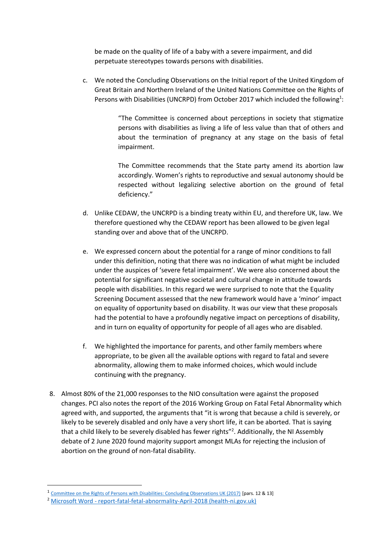be made on the quality of life of a baby with a severe impairment, and did perpetuate stereotypes towards persons with disabilities.

c. We noted the Concluding Observations on the Initial report of the United Kingdom of Great Britain and Northern Ireland of the United Nations Committee on the Rights of Persons with Disabilities (UNCRPD) from October 2017 which included the following<sup>1</sup>:

> "The Committee is concerned about perceptions in society that stigmatize persons with disabilities as living a life of less value than that of others and about the termination of pregnancy at any stage on the basis of fetal impairment.

> The Committee recommends that the State party amend its abortion law accordingly. Women's rights to reproductive and sexual autonomy should be respected without legalizing selective abortion on the ground of fetal deficiency."

- d. Unlike CEDAW, the UNCRPD is a binding treaty within EU, and therefore UK, law. We therefore questioned why the CEDAW report has been allowed to be given legal standing over and above that of the UNCRPD.
- e. We expressed concern about the potential for a range of minor conditions to fall under this definition, noting that there was no indication of what might be included under the auspices of 'severe fetal impairment'. We were also concerned about the potential for significant negative societal and cultural change in attitude towards people with disabilities. In this regard we were surprised to note that the Equality Screening Document assessed that the new framework would have a 'minor' impact on equality of opportunity based on disability. It was our view that these proposals had the potential to have a profoundly negative impact on perceptions of disability, and in turn on equality of opportunity for people of all ages who are disabled.
- f. We highlighted the importance for parents, and other family members where appropriate, to be given all the available options with regard to fatal and severe abnormality, allowing them to make informed choices, which would include continuing with the pregnancy.
- 8. Almost 80% of the 21,000 responses to the NIO consultation were against the proposed changes. PCI also notes the report of the 2016 Working Group on Fatal Fetal Abnormality which agreed with, and supported, the arguments that "it is wrong that because a child is severely, or likely to be severely disabled and only have a very short life, it can be aborted. That is saying that a child likely to be severely disabled has fewer rights"<sup>2</sup>. Additionally, the NI Assembly debate of 2 June 2020 found majority support amongst MLAs for rejecting the inclusion of abortion on the ground of non-fatal disability.

1

<sup>&</sup>lt;sup>1</sup> [Committee on the Rights of Persons with Disabilities: Concluding Observations UK \(2017\)](https://tbinternet.ohchr.org/_layouts/15/treatybodyexternal/Download.aspx?symbolno=CRPD/C/GBR/CO/1&Lang=En) [pars. 12 & 13]

<sup>&</sup>lt;sup>2</sup> Microsoft Word - [report-fatal-fetal-abnormality-April-2018 \(health-ni.gov.uk\)](https://www.health-ni.gov.uk/sites/default/files/publications/health/report-fatal-fetal-abnormality-April-2018.pdf)